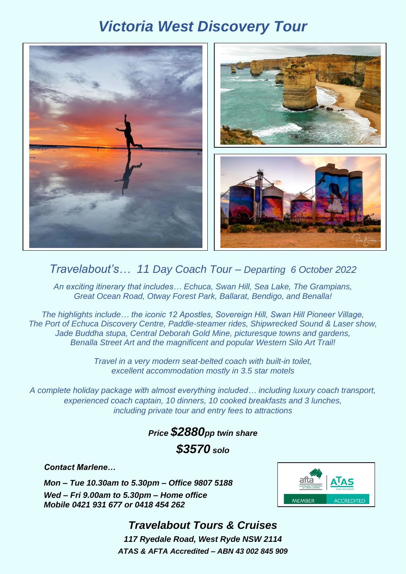# *Victoria West Discovery Tour*



### *Travelabout's… 11 Day Coach Tour – Departing 6 October 2022*

*An exciting itinerary that includes… Echuca, Swan Hill, Sea Lake, The Grampians, Great Ocean Road, Otway Forest Park, Ballarat, Bendigo, and Benalla!*

*The highlights include… the iconic 12 Apostles, Sovereign Hill, Swan Hill Pioneer Village, The Port of Echuca Discovery Centre, Paddle-steamer rides, Shipwrecked Sound & Laser show, Jade Buddha stupa, Central Deborah Gold Mine, picturesque towns and gardens, Benalla Street Art and the magnificent and popular Western Silo Art Trail!*

> *Travel in a very modern seat-belted coach with built-in toilet, excellent accommodation mostly in 3.5 star motels*

*A complete holiday package with almost everything included… including luxury coach transport, experienced coach captain, 10 dinners, 10 cooked breakfasts and 3 lunches, including private tour and entry fees to attractions*

## *Price \$2880pp twin share \$3570 solo*

*Contact Marlene…*

*Mon – Tue 10.30am to 5.30pm – Office 9807 5188 Wed – Fri 9.00am to 5.30pm – Home office Mobile 0421 931 677 or 0418 454 262*



## *Travelabout Tours & Cruises 117 Ryedale Road, West Ryde NSW 2114*

*ATAS & AFTA Accredited – ABN 43 002 845 909*